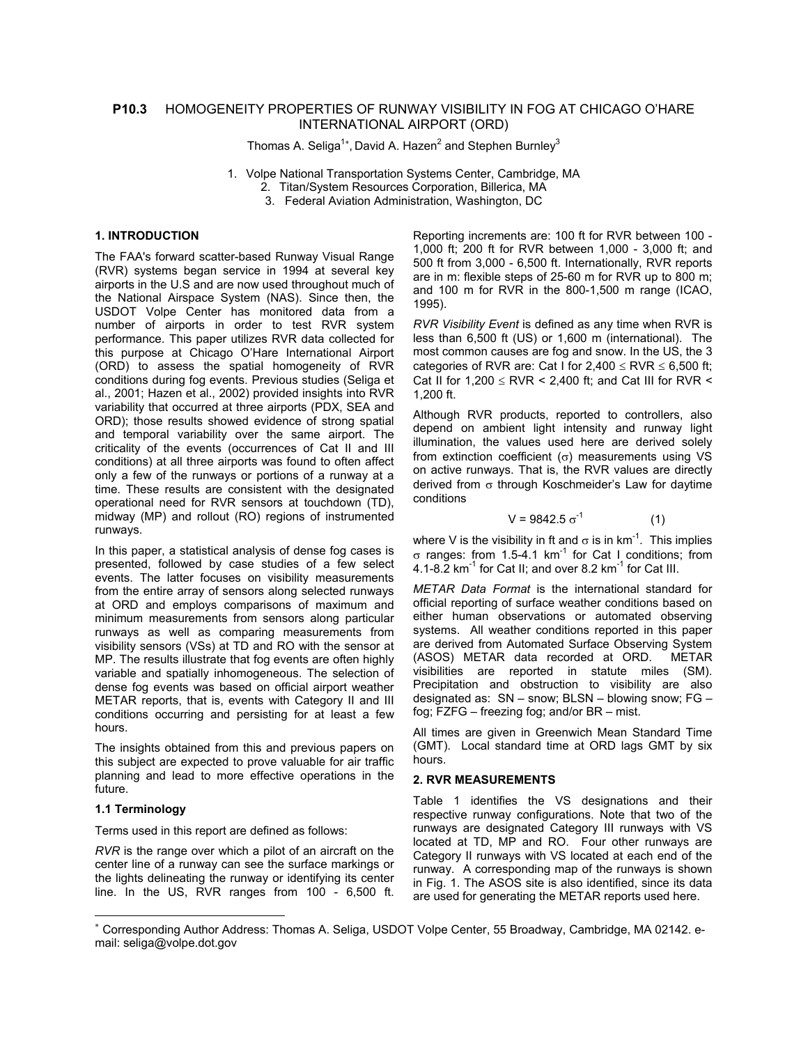# **P10.3** HOMOGENEITY PROPERTIES OF RUNWAY VISIBILITY IN FOG AT CHICAGO O'HARE INTERNATIONAL AIRPORT (ORD)

Thomas A. Seliga<sup>1[∗](#page-0-0)</sup>, David A. Hazen<sup>2</sup> and Stephen Burnley<sup>3</sup>

- 1. Volpe National Transportation Systems Center, Cambridge, MA
	- 2. Titan/System Resources Corporation, Billerica, MA
	- 3. Federal Aviation Administration, Washington, DC

# **1. INTRODUCTION**

The FAA's forward scatter-based Runway Visual Range (RVR) systems began service in 1994 at several key airports in the U.S and are now used throughout much of the National Airspace System (NAS). Since then, the USDOT Volpe Center has monitored data from a number of airports in order to test RVR system performance. This paper utilizes RVR data collected for this purpose at Chicago O'Hare International Airport (ORD) to assess the spatial homogeneity of RVR conditions during fog events. Previous studies (Seliga et al., 2001; Hazen et al., 2002) provided insights into RVR variability that occurred at three airports (PDX, SEA and ORD); those results showed evidence of strong spatial and temporal variability over the same airport. The criticality of the events (occurrences of Cat II and III conditions) at all three airports was found to often affect only a few of the runways or portions of a runway at a time. These results are consistent with the designated operational need for RVR sensors at touchdown (TD), midway (MP) and rollout (RO) regions of instrumented runways.

In this paper, a statistical analysis of dense fog cases is presented, followed by case studies of a few select events. The latter focuses on visibility measurements from the entire array of sensors along selected runways at ORD and employs comparisons of maximum and minimum measurements from sensors along particular runways as well as comparing measurements from visibility sensors (VSs) at TD and RO with the sensor at MP. The results illustrate that fog events are often highly variable and spatially inhomogeneous. The selection of dense fog events was based on official airport weather METAR reports, that is, events with Category II and III conditions occurring and persisting for at least a few hours.

The insights obtained from this and previous papers on this subject are expected to prove valuable for air traffic planning and lead to more effective operations in the future.

## **1.1 Terminology**

 $\overline{a}$ 

Terms used in this report are defined as follows:

*RVR* is the range over which a pilot of an aircraft on the center line of a runway can see the surface markings or the lights delineating the runway or identifying its center line. In the US, RVR ranges from 100 - 6,500 ft. Reporting increments are: 100 ft for RVR between 100 - 1,000 ft; 200 ft for RVR between 1,000 - 3,000 ft; and 500 ft from 3,000 - 6,500 ft. Internationally, RVR reports are in m: flexible steps of 25-60 m for RVR up to 800 m; and 100 m for RVR in the 800-1,500 m range (ICAO, 1995).

*RVR Visibility Event* is defined as any time when RVR is less than 6,500 ft (US) or 1,600 m (international). The most common causes are fog and snow. In the US, the 3 categories of RVR are: Cat I for  $2.400 \leq RVR \leq 6.500$  ft: Cat II for  $1.200 \leq RVR$  < 2.400 ft; and Cat III for RVR < 1,200 ft.

Although RVR products, reported to controllers, also depend on ambient light intensity and runway light illumination, the values used here are derived solely from extinction coefficient ( $\sigma$ ) measurements using VS on active runways. That is, the RVR values are directly derived from σ through Koschmeider's Law for daytime conditions

$$
V = 9842.5 \sigma^{-1}
$$
 (1)

where V is the visibility in ft and  $\sigma$  is in km<sup>-1</sup>. This implies  $σ$  ranges: from 1.5-4.1 km<sup>-1</sup> for Cat I conditions: from 4.1-8.2 km<sup>-1</sup> for Cat II; and over 8.2 km<sup>-1</sup> for Cat III.

*METAR Data Format* is the international standard for official reporting of surface weather conditions based on either human observations or automated observing systems. All weather conditions reported in this paper are derived from Automated Surface Observing System (ASOS) METAR data recorded at ORD. METAR visibilities are reported in statute miles (SM). Precipitation and obstruction to visibility are also designated as: SN – snow; BLSN – blowing snow; FG – fog; FZFG – freezing fog; and/or BR – mist.

All times are given in Greenwich Mean Standard Time (GMT). Local standard time at ORD lags GMT by six hours.

## **2. RVR MEASUREMENTS**

Table 1 identifies the VS designations and their respective runway configurations. Note that two of the runways are designated Category III runways with VS located at TD, MP and RO. Four other runways are Category II runways with VS located at each end of the runway. A corresponding map of the runways is shown in Fig. 1. The ASOS site is also identified, since its data are used for generating the METAR reports used here.

<span id="page-0-0"></span><sup>∗</sup> Corresponding Author Address: Thomas A. Seliga, USDOT Volpe Center, 55 Broadway, Cambridge, MA 02142. email: seliga@volpe.dot.gov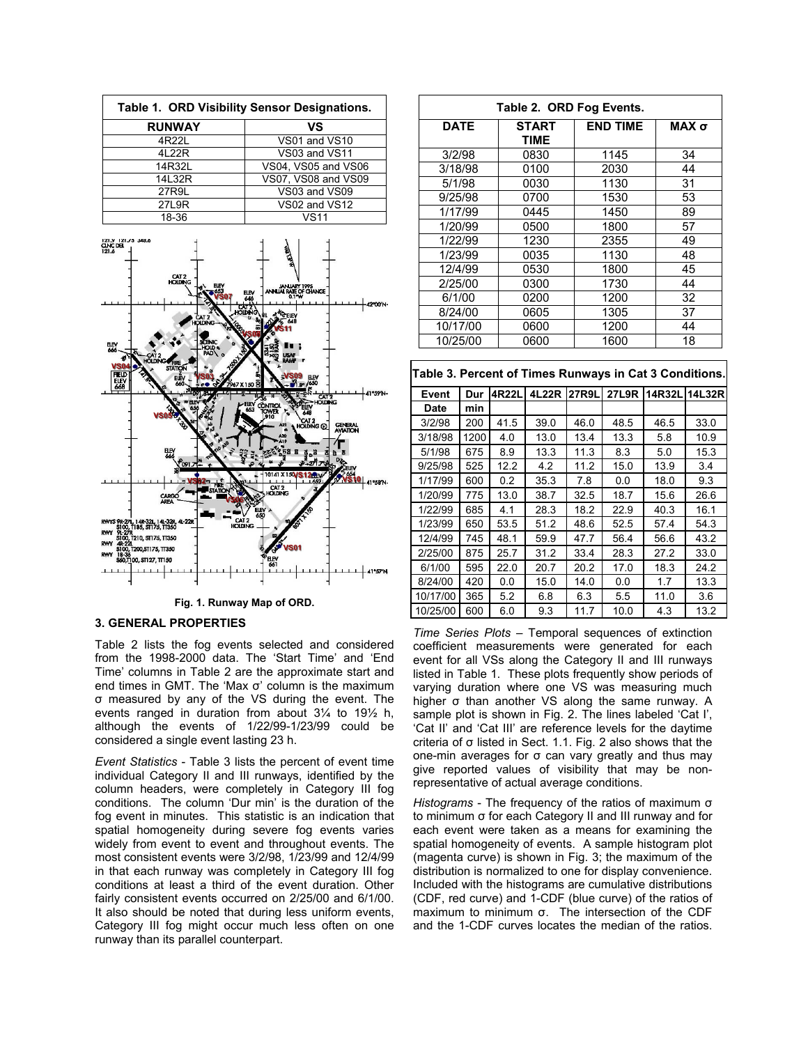| Table 1. ORD Visibility Sensor Designations. |                     |  |  |
|----------------------------------------------|---------------------|--|--|
| <b>RUNWAY</b>                                | VS                  |  |  |
| 4R22L                                        | VS01 and VS10       |  |  |
| 4L22R                                        | VS03 and VS11       |  |  |
| 14R32L                                       | VS04, VS05 and VS06 |  |  |
| 14L32R                                       | VS07, VS08 and VS09 |  |  |
| 27R9L                                        | VS03 and VS09       |  |  |
| 27L9R                                        | VS02 and VS12       |  |  |
| 18-36                                        | <b>VS11</b>         |  |  |



**Fig. 1. Runway Map of ORD.**

#### **3. GENERAL PROPERTIES**

Table 2 lists the fog events selected and considered from the 1998-2000 data. The 'Start Time' and 'End Time' columns in Table 2 are the approximate start and end times in GMT. The 'Max σ' column is the maximum σ measured by any of the VS during the event. The events ranged in duration from about 3¼ to 19½ h, although the events of 1/22/99-1/23/99 could be considered a single event lasting 23 h.

*Event Statistics* - Table 3 lists the percent of event time individual Category II and III runways, identified by the column headers, were completely in Category III fog conditions. The column 'Dur min' is the duration of the fog event in minutes. This statistic is an indication that spatial homogeneity during severe fog events varies widely from event to event and throughout events. The most consistent events were 3/2/98, 1/23/99 and 12/4/99 in that each runway was completely in Category III fog conditions at least a third of the event duration. Other fairly consistent events occurred on 2/25/00 and 6/1/00. It also should be noted that during less uniform events, Category III fog might occur much less often on one runway than its parallel counterpart.

| Table 2. ORD Fog Events. |                      |                 |         |  |  |
|--------------------------|----------------------|-----------------|---------|--|--|
| <b>DATE</b>              | <b>START</b><br>TIME | <b>END TIME</b> | MAX $σ$ |  |  |
| 3/2/98                   | 0830                 | 1145            | 34      |  |  |
| 3/18/98                  | 0100                 | 2030            | 44      |  |  |
| 5/1/98                   | 0030                 | 1130            | 31      |  |  |
| 9/25/98                  | 0700                 | 1530            | 53      |  |  |
| 1/17/99                  | 0445                 | 1450            | 89      |  |  |
| 1/20/99                  | 0500                 | 1800            | 57      |  |  |
| 1/22/99                  | 1230                 | 2355            | 49      |  |  |
| 1/23/99                  | 0035                 | 1130            | 48      |  |  |
| 12/4/99                  | 0530                 | 1800            | 45      |  |  |
| 2/25/00                  | 0300                 | 1730            | 44      |  |  |
| 6/1/00                   | 0200                 | 1200            | 32      |  |  |
| 8/24/00                  | 0605                 | 1305            | 37      |  |  |
| 10/17/00                 | 0600                 | 1200            | 44      |  |  |
| 10/25/00                 | 0600                 | 1600            | 18      |  |  |

|  |  | Table 3. Percent of Times Runways in Cat 3 Conditions. |  |  |  |
|--|--|--------------------------------------------------------|--|--|--|
|--|--|--------------------------------------------------------|--|--|--|

| Event    | Dur  | 4R22L | 4L22R | <b>27R9L</b> | <b>27L9R</b> |      | 14R32L144L32R |
|----------|------|-------|-------|--------------|--------------|------|---------------|
| Date     | min  |       |       |              |              |      |               |
| 3/2/98   | 200  | 41.5  | 39.0  | 46.0         | 48.5         | 46.5 | 33.0          |
| 3/18/98  | 1200 | 4.0   | 13.0  | 13.4         | 13.3         | 5.8  | 10.9          |
| 5/1/98   | 675  | 8.9   | 13.3  | 11.3         | 8.3          | 5.0  | 15.3          |
| 9/25/98  | 525  | 12.2  | 4.2   | 11.2         | 15.0         | 13.9 | 3.4           |
| 1/17/99  | 600  | 0.2   | 35.3  | 7.8          | 0.0          | 18.0 | 9.3           |
| 1/20/99  | 775  | 13.0  | 38.7  | 32.5         | 18.7         | 15.6 | 26.6          |
| 1/22/99  | 685  | 4.1   | 28.3  | 18.2         | 22.9         | 40.3 | 16.1          |
| 1/23/99  | 650  | 53.5  | 51.2  | 48.6         | 52.5         | 57.4 | 54.3          |
| 12/4/99  | 745  | 48.1  | 59.9  | 47.7         | 56.4         | 56.6 | 43.2          |
| 2/25/00  | 875  | 25.7  | 31.2  | 33.4         | 28.3         | 27.2 | 33.0          |
| 6/1/00   | 595  | 22.0  | 20.7  | 20.2         | 17.0         | 18.3 | 24.2          |
| 8/24/00  | 420  | 0.0   | 15.0  | 14.0         | 0.0          | 1.7  | 13.3          |
| 10/17/00 | 365  | 5.2   | 6.8   | 6.3          | 5.5          | 11.0 | 3.6           |
| 10/25/00 | 600  | 6.0   | 9.3   | 11.7         | 10.0         | 4.3  | 13.2          |

*Time Series Plots* – Temporal sequences of extinction coefficient measurements were generated for each event for all VSs along the Category II and III runways listed in Table 1. These plots frequently show periods of varying duration where one VS was measuring much higher σ than another VS along the same runway. A sample plot is shown in Fig. 2. The lines labeled 'Cat I', 'Cat II' and 'Cat III' are reference levels for the daytime criteria of σ listed in Sect. 1.1. Fig. 2 also shows that the one-min averages for σ can vary greatly and thus may give reported values of visibility that may be nonrepresentative of actual average conditions.

*Histograms* - The frequency of the ratios of maximum σ to minimum σ for each Category II and III runway and for each event were taken as a means for examining the spatial homogeneity of events. A sample histogram plot (magenta curve) is shown in Fig. 3; the maximum of the distribution is normalized to one for display convenience. Included with the histograms are cumulative distributions (CDF, red curve) and 1-CDF (blue curve) of the ratios of maximum to minimum σ. The intersection of the CDF and the 1-CDF curves locates the median of the ratios.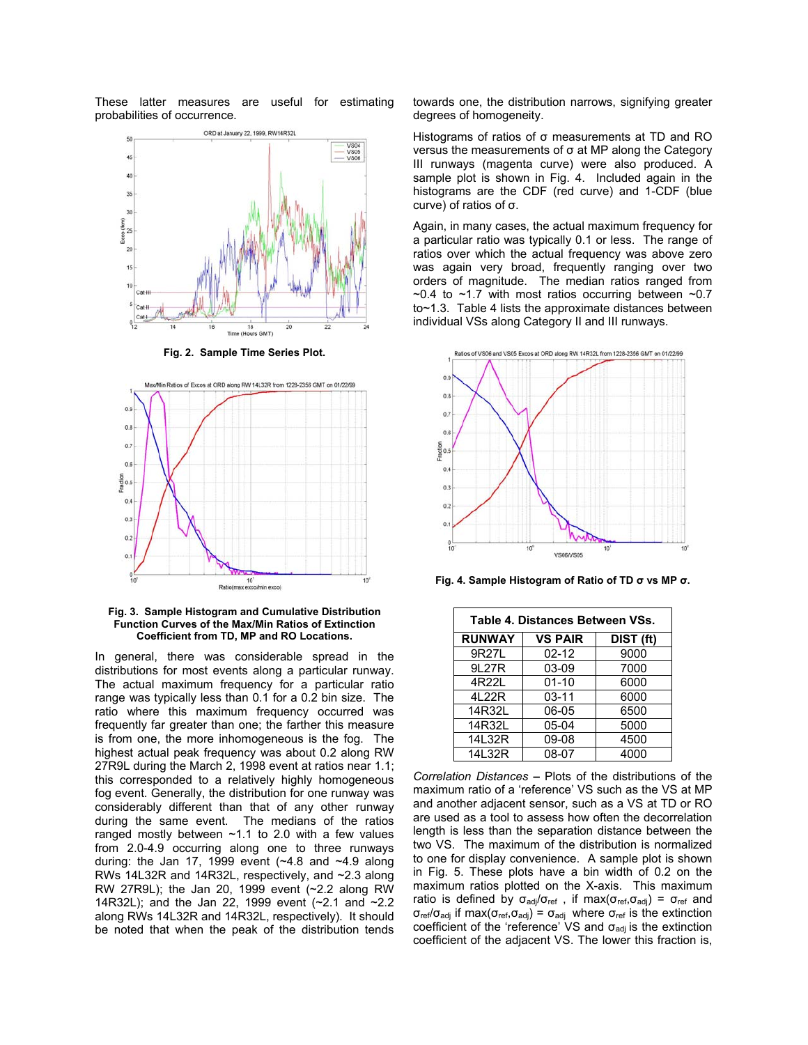These latter measures are useful for estimating probabilities of occurrence.



**Fig. 2. Sample Time Series Plot.**



**Fig. 3. Sample Histogram and Cumulative Distribution Function Curves of the Max/Min Ratios of Extinction Coefficient from TD, MP and RO Locations.** 

In general, there was considerable spread in the distributions for most events along a particular runway. The actual maximum frequency for a particular ratio range was typically less than 0.1 for a 0.2 bin size. The ratio where this maximum frequency occurred was frequently far greater than one; the farther this measure is from one, the more inhomogeneous is the fog. The highest actual peak frequency was about 0.2 along RW 27R9L during the March 2, 1998 event at ratios near 1.1; this corresponded to a relatively highly homogeneous fog event. Generally, the distribution for one runway was considerably different than that of any other runway during the same event. The medians of the ratios ranged mostly between ~1.1 to 2.0 with a few values from 2.0-4.9 occurring along one to three runways during: the Jan 17, 1999 event  $(-4.8 \text{ and } -4.9 \text{ along})$ RWs 14L32R and 14R32L, respectively, and ~2.3 along RW 27R9L); the Jan 20, 1999 event (~2.2 along RW 14R32L); and the Jan 22, 1999 event (~2.1 and ~2.2 along RWs 14L32R and 14R32L, respectively). It should be noted that when the peak of the distribution tends towards one, the distribution narrows, signifying greater degrees of homogeneity.

Histograms of ratios of σ measurements at TD and RO versus the measurements of σ at MP along the Category III runways (magenta curve) were also produced. A sample plot is shown in Fig. 4. Included again in the histograms are the CDF (red curve) and 1-CDF (blue curve) of ratios of σ.

Again, in many cases, the actual maximum frequency for a particular ratio was typically 0.1 or less. The range of ratios over which the actual frequency was above zero was again very broad, frequently ranging over two orders of magnitude. The median ratios ranged from  $\sim$ 0.4 to  $\sim$ 1.7 with most ratios occurring between  $\sim$ 0.7 to~1.3. Table 4 lists the approximate distances between individual VSs along Category II and III runways.



**Fig. 4. Sample Histogram of Ratio of TD σ vs MP σ.** 

| Table 4. Distances Between VSs.              |           |      |  |  |
|----------------------------------------------|-----------|------|--|--|
| <b>RUNWAY</b><br><b>VS PAIR</b><br>DIST (ft) |           |      |  |  |
| 9R27L                                        | $02 - 12$ | 9000 |  |  |
| 9L27R                                        | 03-09     | 7000 |  |  |
| 4R22L                                        | $01 - 10$ | 6000 |  |  |
| 4L22R                                        | 03-11     | 6000 |  |  |
| 14R32L                                       | 06-05     | 6500 |  |  |
| 14R32L                                       | 05-04     | 5000 |  |  |
| 14L32R                                       | 09-08     | 4500 |  |  |
| 14L32R                                       | 08-07     | 4000 |  |  |

*Correlation Distances* **–** Plots of the distributions of the maximum ratio of a 'reference' VS such as the VS at MP and another adjacent sensor, such as a VS at TD or RO are used as a tool to assess how often the decorrelation length is less than the separation distance between the two VS. The maximum of the distribution is normalized to one for display convenience. A sample plot is shown in Fig. 5. These plots have a bin width of 0.2 on the maximum ratios plotted on the X-axis. This maximum ratio is defined by  $\sigma_{\text{adj}}/\sigma_{\text{ref}}$ , if max( $\sigma_{\text{ref}}, \sigma_{\text{adj}}$ ) =  $\sigma_{\text{ref}}$  and  $\sigma_{\text{ref}}/\sigma_{\text{adj}}$  if max( $\sigma_{\text{ref}}$ , $\sigma_{\text{adj}}$ ) =  $\sigma_{\text{adj}}$  where  $\sigma_{\text{ref}}$  is the extinction coefficient of the 'reference' VS and  $\sigma_{\text{adj}}$  is the extinction coefficient of the adjacent VS. The lower this fraction is,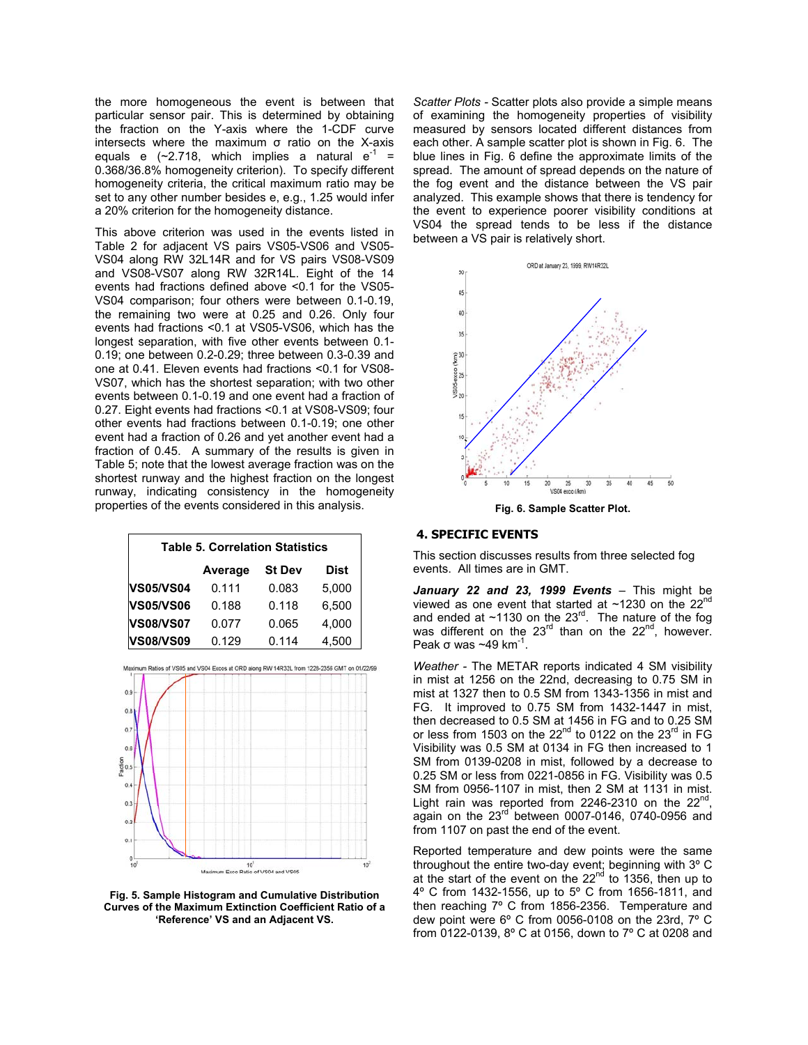the more homogeneous the event is between that particular sensor pair. This is determined by obtaining the fraction on the Y-axis where the 1-CDF curve intersects where the maximum σ ratio on the X-axis equals e (~2.718, which implies a natural  $e^{-1}$  = 0.368/36.8% homogeneity criterion). To specify different homogeneity criteria, the critical maximum ratio may be set to any other number besides e, e.g., 1.25 would infer a 20% criterion for the homogeneity distance.

This above criterion was used in the events listed in Table 2 for adjacent VS pairs VS05-VS06 and VS05- VS04 along RW 32L14R and for VS pairs VS08-VS09 and VS08-VS07 along RW 32R14L. Eight of the 14 events had fractions defined above <0.1 for the VS05- VS04 comparison; four others were between 0.1-0.19, the remaining two were at 0.25 and 0.26. Only four events had fractions <0.1 at VS05-VS06, which has the longest separation, with five other events between 0.1- 0.19; one between 0.2-0.29; three between 0.3-0.39 and one at 0.41. Eleven events had fractions <0.1 for VS08- VS07, which has the shortest separation; with two other events between 0.1-0.19 and one event had a fraction of 0.27. Eight events had fractions <0.1 at VS08-VS09; four other events had fractions between 0.1-0.19; one other event had a fraction of 0.26 and yet another event had a fraction of 0.45. A summary of the results is given in Table 5; note that the lowest average fraction was on the shortest runway and the highest fraction on the longest runway, indicating consistency in the homogeneity properties of the events considered in this analysis.

| <b>Table 5. Correlation Statistics</b> |         |               |             |  |
|----------------------------------------|---------|---------------|-------------|--|
|                                        | Average | <b>St Dev</b> | <b>Dist</b> |  |
| <b>VS05/VS04</b>                       | 0.111   | 0.083         | 5,000       |  |
| <b>VS05/VS06</b>                       | 0.188   | 0.118         | 6,500       |  |
| <b>VS08/VS07</b>                       | 0.077   | 0.065         | 4,000       |  |
| <b>VS08/VS09</b>                       | 0.129   | 0.114         | 4,500       |  |



**Fig. 5. Sample Histogram and Cumulative Distribution Curves of the Maximum Extinction Coefficient Ratio of a 'Reference' VS and an Adjacent VS.** 

*Scatter Plots -* Scatter plots also provide a simple means of examining the homogeneity properties of visibility measured by sensors located different distances from each other. A sample scatter plot is shown in Fig. 6. The blue lines in Fig. 6 define the approximate limits of the spread. The amount of spread depends on the nature of the fog event and the distance between the VS pair analyzed. This example shows that there is tendency for the event to experience poorer visibility conditions at VS04 the spread tends to be less if the distance between a VS pair is relatively short.



**Fig. 6. Sample Scatter Plot.** 

# **4. SPECIFIC EVENTS**

This section discusses results from three selected fog events. All times are in GMT.

*January 22 and 23, 1999 Events* – This might be viewed as one event that started at ~1230 on the 22<sup>nd</sup> and ended at  $~1130$  on the 23<sup>rd</sup>. The nature of the fog was different on the  $23^{rd}$  than on the  $22^{nd}$ , however. Peak  $\sigma$  was ~49 km<sup>-1</sup>.

*Weather -* The METAR reports indicated 4 SM visibility in mist at 1256 on the 22nd, decreasing to 0.75 SM in mist at 1327 then to 0.5 SM from 1343-1356 in mist and FG. It improved to 0.75 SM from 1432-1447 in mist, then decreased to 0.5 SM at 1456 in FG and to 0.25 SM or less from 1503 on the  $22<sup>nd</sup>$  to 0122 on the  $23<sup>rd</sup>$  in FG Visibility was 0.5 SM at 0134 in FG then increased to 1 SM from 0139-0208 in mist, followed by a decrease to 0.25 SM or less from 0221-0856 in FG. Visibility was 0.5 SM from 0956-1107 in mist, then 2 SM at 1131 in mist. Light rain was reported from 2246-2310 on the  $22^{nd}$ , again on the 23<sup>rd</sup> between 0007-0146, 0740-0956 and from 1107 on past the end of the event.

Reported temperature and dew points were the same throughout the entire two-day event; beginning with 3º C at the start of the event on the 22<sup>nd</sup> to 1356, then up to 4º C from 1432-1556, up to 5º C from 1656-1811, and then reaching 7º C from 1856-2356. Temperature and dew point were 6º C from 0056-0108 on the 23rd, 7º C from 0122-0139, 8º C at 0156, down to 7º C at 0208 and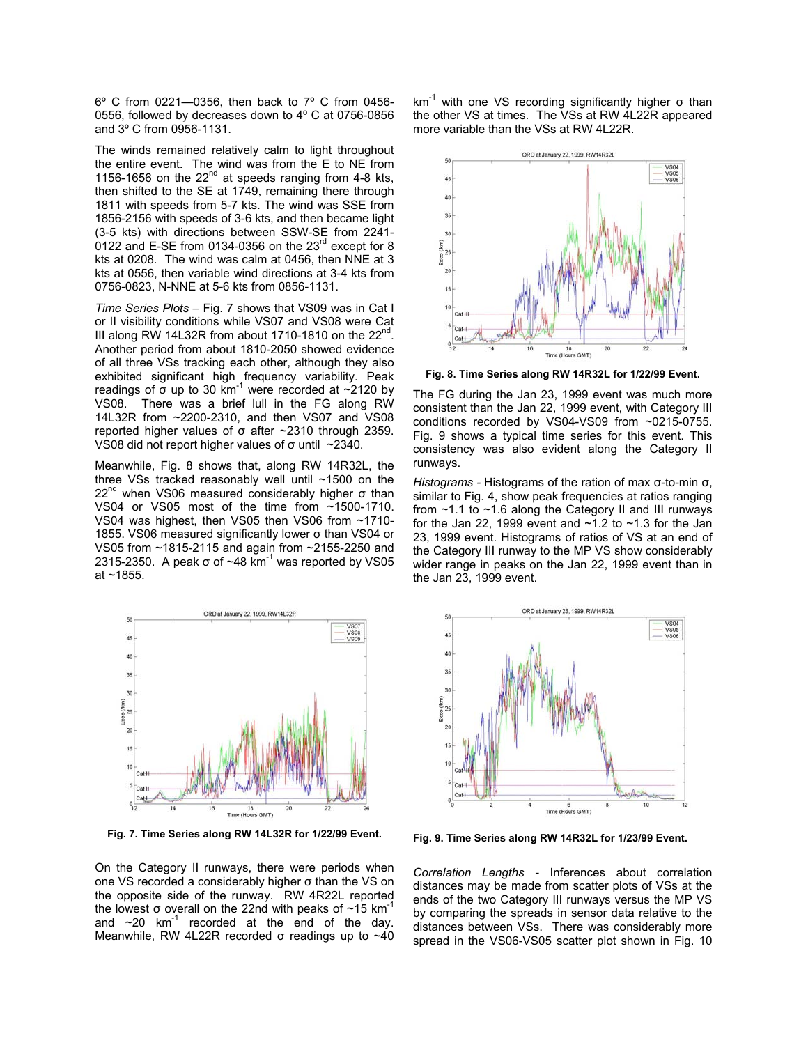6º C from 0221—0356, then back to 7º C from 0456- 0556, followed by decreases down to 4º C at 0756-0856 and 3º C from 0956-1131.

The winds remained relatively calm to light throughout the entire event. The wind was from the E to NE from 1156-1656 on the  $22<sup>nd</sup>$  at speeds ranging from 4-8 kts. then shifted to the SE at 1749, remaining there through 1811 with speeds from 5-7 kts. The wind was SSE from 1856-2156 with speeds of 3-6 kts, and then became light (3-5 kts) with directions between SSW-SE from 2241- 0122 and E-SE from 0134-0356 on the 23<sup>rd</sup> except for 8 kts at 0208. The wind was calm at 0456, then NNE at 3 kts at 0556, then variable wind directions at 3-4 kts from 0756-0823, N-NNE at 5-6 kts from 0856-1131.

*Time Series Plots –* Fig. 7 shows that VS09 was in Cat I or II visibility conditions while VS07 and VS08 were Cat III along RW 14L32R from about 1710-1810 on the  $22<sup>nd</sup>$ . Another period from about 1810-2050 showed evidence of all three VSs tracking each other, although they also exhibited significant high frequency variability. Peak readings of  $\sigma$  up to 30 km<sup>-1</sup> were recorded at  $\sim$ 2120 by VS08. There was a brief lull in the FG along RW 14L32R from ~2200-2310, and then VS07 and VS08 reported higher values of σ after ~2310 through 2359. VS08 did not report higher values of σ until ~2340.

Meanwhile, Fig. 8 shows that, along RW 14R32L, the three VSs tracked reasonably well until ~1500 on the 22<sup>nd</sup> when VS06 measured considerably higher σ than VS04 or VS05 most of the time from ~1500-1710. VS04 was highest, then VS05 then VS06 from ~1710- 1855. VS06 measured significantly lower σ than VS04 or VS05 from ~1815-2115 and again from ~2155-2250 and 2315-2350. A peak σ of  $~1$ <sub>48</sub> km<sup>-1</sup> was reported by VS05 at ~1855.



**Fig. 7. Time Series along RW 14L32R for 1/22/99 Event.** 

On the Category II runways, there were periods when one VS recorded a considerably higher σ than the VS on the opposite side of the runway. RW 4R22L reported the lowest σ overall on the 22nd with peaks of  $~15$  km<sup>-1</sup> and  $\sim$ 20 km<sup>-1</sup> recorded at the end of the day. Meanwhile, RW 4L22R recorded σ readings up to ~40  $km^{-1}$  with one VS recording significantly higher  $\sigma$  than the other VS at times. The VSs at RW 4L22R appeared more variable than the VSs at RW 4L22R.



**Fig. 8. Time Series along RW 14R32L for 1/22/99 Event.** 

The FG during the Jan 23, 1999 event was much more consistent than the Jan 22, 1999 event, with Category III conditions recorded by VS04-VS09 from ~0215-0755. Fig. 9 shows a typical time series for this event. This consistency was also evident along the Category II runways.

 from ~1.1 to ~1.6 along the Category II and III runways *Histograms -* Histograms of the ration of max σ-to-min σ, similar to Fig. 4, show peak frequencies at ratios ranging for the Jan 22, 1999 event and  $\sim$ 1.2 to  $\sim$ 1.3 for the Jan 23, 1999 event. Histograms of ratios of VS at an end of the Category III runway to the MP VS show considerably wider range in peaks on the Jan 22, 1999 event than in the Jan 23, 1999 event.



**Fig. 9. Time Series along RW 14R32L for 1/23/99 Event.** 

*Correlation Lengths -* Inferences about correlation distances may be made from scatter plots of VSs at the ends of the two Category III runways versus the MP VS by comparing the spreads in sensor data relative to the distances between VSs. There was considerably more spread in the VS06-VS05 scatter plot shown in Fig. 10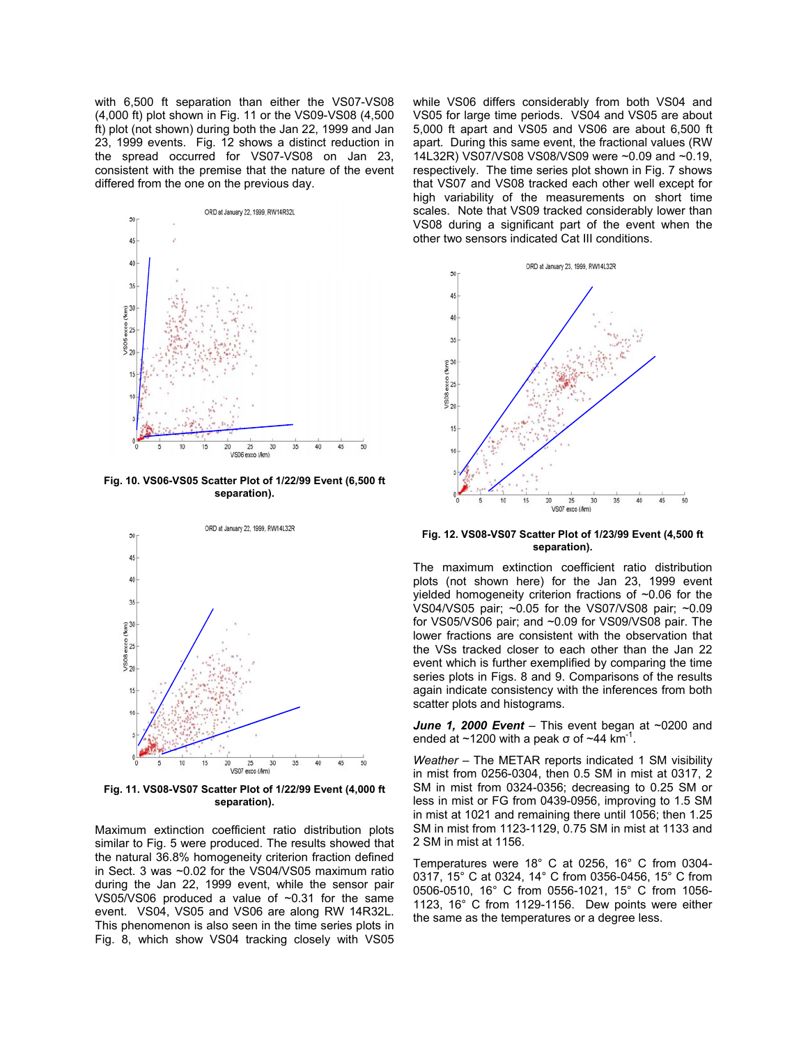with 6,500 ft separation than either the VS07-VS08 (4,000 ft) plot shown in Fig. 11 or the VS09-VS08 (4,500 ft) plot (not shown) during both the Jan 22, 1999 and Jan 23, 1999 events. Fig. 12 shows a distinct reduction in the spread occurred for VS07-VS08 on Jan 23, consistent with the premise that the nature of the event differed from the one on the previous day.



**Fig. 10. VS06-VS05 Scatter Plot of 1/22/99 Event (6,500 ft separation).** 



**Fig. 11. VS08-VS07 Scatter Plot of 1/22/99 Event (4,000 ft separation).** 

Maximum extinction coefficient ratio distribution plots similar to Fig. 5 were produced. The results showed that the natural 36.8% homogeneity criterion fraction defined in Sect. 3 was ~0.02 for the VS04/VS05 maximum ratio during the Jan 22, 1999 event, while the sensor pair VS05/VS06 produced a value of  $\sim$ 0.31 for the same event. VS04, VS05 and VS06 are along RW 14R32L. This phenomenon is also seen in the time series plots in Fig. 8, which show VS04 tracking closely with VS05 while VS06 differs considerably from both VS04 and VS05 for large time periods. VS04 and VS05 are about 5,000 ft apart and VS05 and VS06 are about 6,500 ft apart. During this same event, the fractional values (RW 14L32R) VS07/VS08 VS08/VS09 were ~0.09 and ~0.19, respectively. The time series plot shown in Fig. 7 shows that VS07 and VS08 tracked each other well except for high variability of the measurements on short time scales. Note that VS09 tracked considerably lower than VS08 during a significant part of the event when the other two sensors indicated Cat III conditions.



**Fig. 12. VS08-VS07 Scatter Plot of 1/23/99 Event (4,500 ft separation).** 

The maximum extinction coefficient ratio distribution plots (not shown here) for the Jan 23, 1999 event yielded homogeneity criterion fractions of ~0.06 for the VS04/VS05 pair; ~0.05 for the VS07/VS08 pair; ~0.09 for VS05/VS06 pair; and ~0.09 for VS09/VS08 pair. The lower fractions are consistent with the observation that the VSs tracked closer to each other than the Jan 22 event which is further exemplified by comparing the time series plots in Figs. 8 and 9. Comparisons of the results again indicate consistency with the inferences from both scatter plots and histograms.

June 1, 2000 Event - This event began at ~0200 and ended at  $\sim$ 1200 with a peak σ of  $\sim$ 44 km<sup>-1</sup>.

*Weather –* The METAR reports indicated 1 SM visibility in mist from 0256-0304, then 0.5 SM in mist at 0317, 2 SM in mist from 0324-0356; decreasing to 0.25 SM or less in mist or FG from 0439-0956, improving to 1.5 SM in mist at 1021 and remaining there until 1056; then 1.25 SM in mist from 1123-1129, 0.75 SM in mist at 1133 and 2 SM in mist at 1156.

Temperatures were 18° C at 0256, 16° C from 0304- 0317, 15° C at 0324, 14° C from 0356-0456, 15° C from 0506-0510, 16° C from 0556-1021, 15° C from 1056- 1123, 16° C from 1129-1156. Dew points were either the same as the temperatures or a degree less.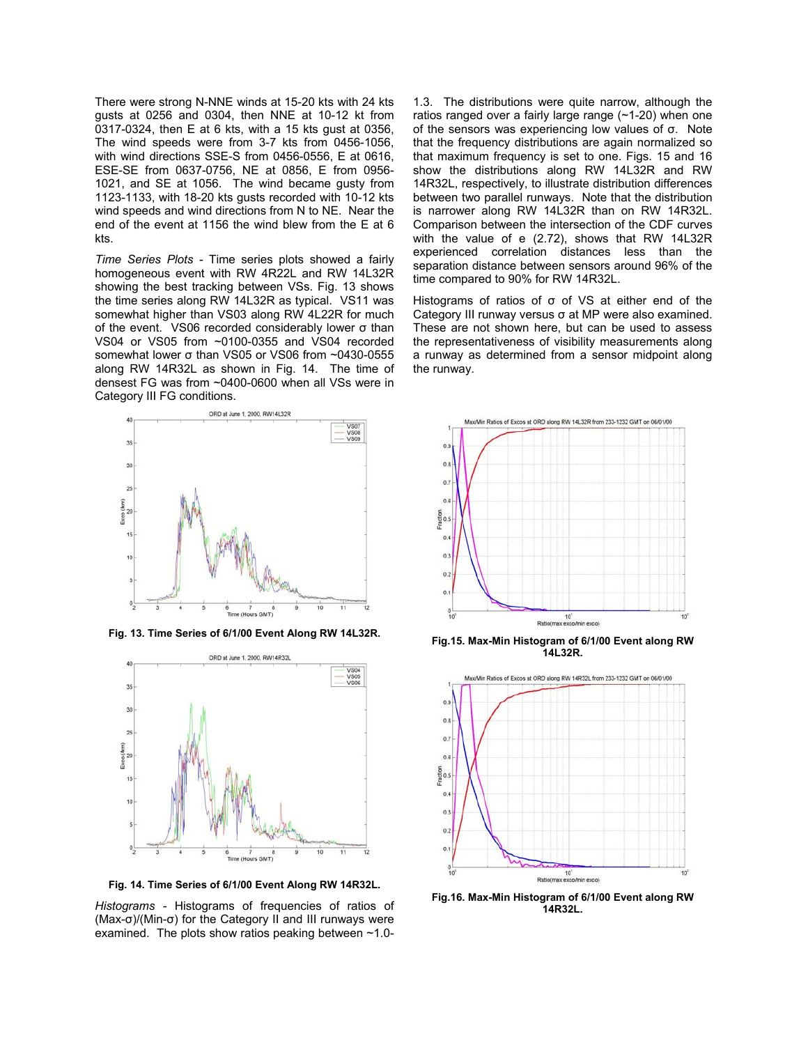There were strong N-NNE winds at 15-20 kts with 24 kts gusts at 0256 and 0304, then NNE at 10-12 kt from 0317-0324, then E at 6 kts, with a 15 kts gust at 0356, The wind speeds were from 3-7 kts from 0456-1056, with wind directions SSE-S from 0456-0556, E at 0616, ESE-SE from 0637-0756, NE at 0856, E from 0956- 1021, and SE at 1056. The wind became gusty from 1123-1133, with 18-20 kts gusts recorded with 10-12 kts wind speeds and wind directions from N to NE. Near the end of the event at 1156 the wind blew from the E at 6 kts.

*Time Series Plots -* Time series plots showed a fairly homogeneous event with RW 4R22L and RW 14L32R showing the best tracking between VSs. Fig. 13 shows the time series along RW 14L32R as typical. VS11 was somewhat higher than VS03 along RW 4L22R for much of the event. VS06 recorded considerably lower σ than VS04 or VS05 from ~0100-0355 and VS04 recorded somewhat lower σ than VS05 or VS06 from ~0430-0555 along RW 14R32L as shown in Fig. 14. The time of densest FG was from ~0400-0600 when all VSs were in Category III FG conditions.



**Fig. 13. Time Series of 6/1/00 Event Along RW 14L32R.** 



**Fig. 14. Time Series of 6/1/00 Event Along RW 14R32L.** 

*Histograms -* Histograms of frequencies of ratios of (Max-σ)/(Min-σ) for the Category II and III runways were examined. The plots show ratios peaking between  $\sim$ 1.0-

1.3. The distributions were quite narrow, although the ratios ranged over a fairly large range (~1-20) when one of the sensors was experiencing low values of σ. Note that the frequency distributions are again normalized so that maximum frequency is set to one. Figs. 15 and 16 show the distributions along RW 14L32R and RW 14R32L, respectively, to illustrate distribution differences between two parallel runways. Note that the distribution is narrower along RW 14L32R than on RW 14R32L. Comparison between the intersection of the CDF curves with the value of e (2.72), shows that RW 14L32R experienced correlation distances less than the separation distance between sensors around 96% of the time compared to 90% for RW 14R32L.

Histograms of ratios of σ of VS at either end of the Category III runway versus σ at MP were also examined. These are not shown here, but can be used to assess the representativeness of visibility measurements along a runway as determined from a sensor midpoint along the runway.



**Fig.15. Max-Min Histogram of 6/1/00 Event along RW 14L32R.** 



**Fig.16. Max-Min Histogram of 6/1/00 Event along RW 14R32L.**